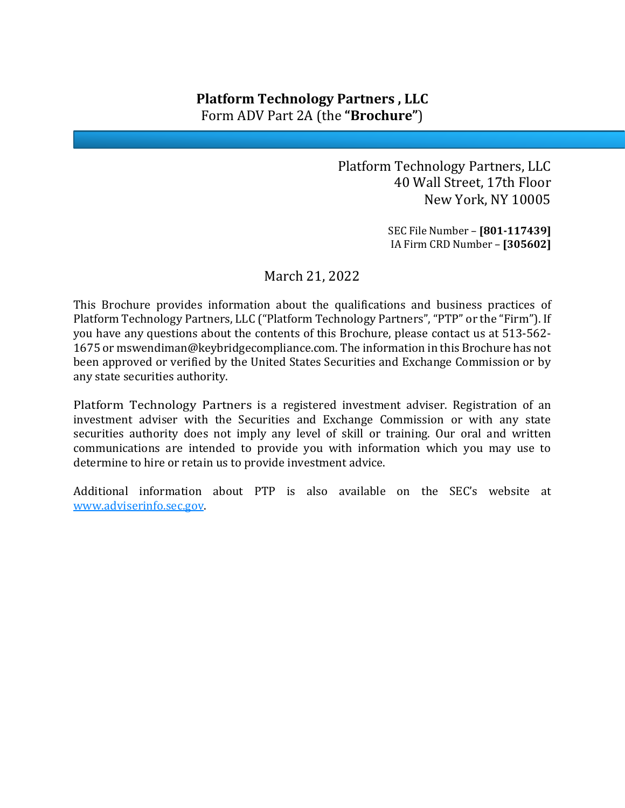# **Platform Technology Partners , LLC** Form ADV Part 2A (the **"Brochure"**)

Platform Technology Partners, LLC 40 Wall Street, 17th Floor New York, NY 10005

> SEC File Number – **[801-117439]** IA Firm CRD Number – **[305602]**

### March 21, 2022

This Brochure provides information about the qualifications and business practices of Platform Technology Partners, LLC ("Platform Technology Partners", "PTP" or the "Firm"). If you have any questions about the contents of this Brochure, please contact us at 513-562- 1675 or mswendiman@keybridgecompliance.com. The information in this Brochure has not been approved or verified by the United States Securities and Exchange Commission or by any state securities authority.

Platform Technology Partners is a registered investment adviser. Registration of an investment adviser with the Securities and Exchange Commission or with any state securities authority does not imply any level of skill or training. Our oral and written communications are intended to provide you with information which you may use to determine to hire or retain us to provide investment advice.

Additional information about PTP is also available on the SEC's website at [www.adviserinfo.sec.gov.](http://www.adviserinfo.sec.gov/)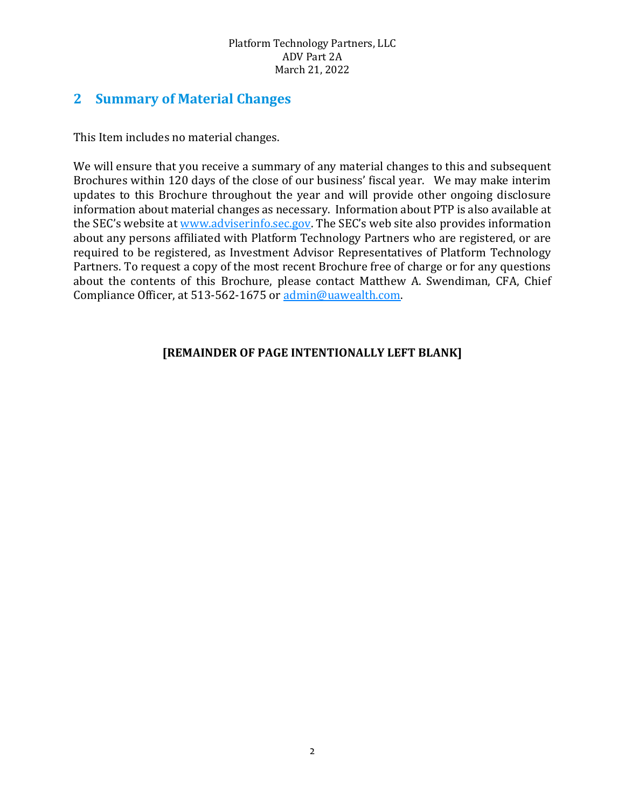### **2 Summary of Material Changes**

This Item includes no material changes.

We will ensure that you receive a summary of any material changes to this and subsequent Brochures within 120 days of the close of our business' fiscal year. We may make interim updates to this Brochure throughout the year and will provide other ongoing disclosure information about material changes as necessary. Information about PTP is also available at the SEC's website at [www.adviserinfo.sec.gov.](http://www.adviserinfo.sec.gov/) The SEC's web site also provides information about any persons affiliated with Platform Technology Partners who are registered, or are required to be registered, as Investment Advisor Representatives of Platform Technology Partners. To request a copy of the most recent Brochure free of charge or for any questions about the contents of this Brochure, please contact Matthew A. Swendiman, CFA, Chief Compliance Officer, at 513-562-1675 or [admin@uawealth.com.](mailto:admin@uawealth.com)

### **[REMAINDER OF PAGE INTENTIONALLY LEFT BLANK]**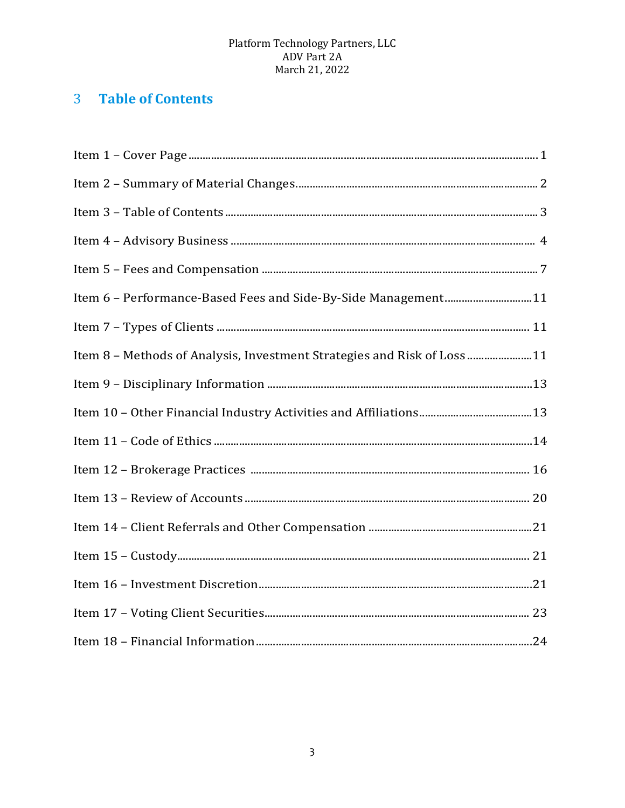# 3 Table of Contents

| Item 6 - Performance-Based Fees and Side-By-Side Management11           |
|-------------------------------------------------------------------------|
|                                                                         |
| Item 8 - Methods of Analysis, Investment Strategies and Risk of Loss 11 |
|                                                                         |
|                                                                         |
|                                                                         |
|                                                                         |
|                                                                         |
|                                                                         |
|                                                                         |
|                                                                         |
|                                                                         |
|                                                                         |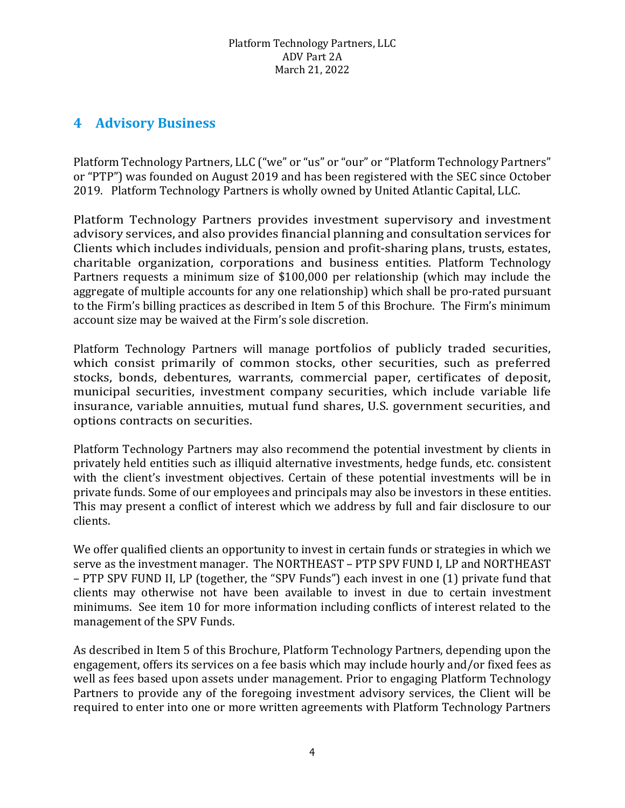## **4 Advisory Business**

Platform Technology Partners, LLC ("we" or "us" or "our" or "Platform Technology Partners" or "PTP") was founded on August 2019 and has been registered with the SEC since October 2019. Platform Technology Partners is wholly owned by United Atlantic Capital, LLC.

Platform Technology Partners provides investment supervisory and investment advisory services, and also provides financial planning and consultation services for Clients which includes individuals, pension and profit-sharing plans, trusts, estates, charitable organization, corporations and business entities. Platform Technology Partners requests a minimum size of \$100,000 per relationship (which may include the aggregate of multiple accounts for any one relationship) which shall be pro-rated pursuant to the Firm's billing practices as described in Item 5 of this Brochure. The Firm's minimum account size may be waived at the Firm's sole discretion.

Platform Technology Partners will manage portfolios of publicly traded securities, which consist primarily of common stocks, other securities, such as preferred stocks, bonds, debentures, warrants, commercial paper, certificates of deposit, municipal securities, investment company securities, which include variable life insurance, variable annuities, mutual fund shares, U.S. government securities, and options contracts on securities.

Platform Technology Partners may also recommend the potential investment by clients in privately held entities such as illiquid alternative investments, hedge funds, etc. consistent with the client's investment objectives. Certain of these potential investments will be in private funds. Some of our employees and principals may also be investors in these entities. This may present a conflict of interest which we address by full and fair disclosure to our clients.

We offer qualified clients an opportunity to invest in certain funds or strategies in which we serve as the investment manager. The NORTHEAST – PTP SPV FUND I, LP and NORTHEAST – PTP SPV FUND II, LP (together, the "SPV Funds") each invest in one (1) private fund that clients may otherwise not have been available to invest in due to certain investment minimums. See item 10 for more information including conflicts of interest related to the management of the SPV Funds.

As described in Item 5 of this Brochure, Platform Technology Partners, depending upon the engagement, offers its services on a fee basis which may include hourly and/or fixed fees as well as fees based upon assets under management. Prior to engaging Platform Technology Partners to provide any of the foregoing investment advisory services, the Client will be required to enter into one or more written agreements with Platform Technology Partners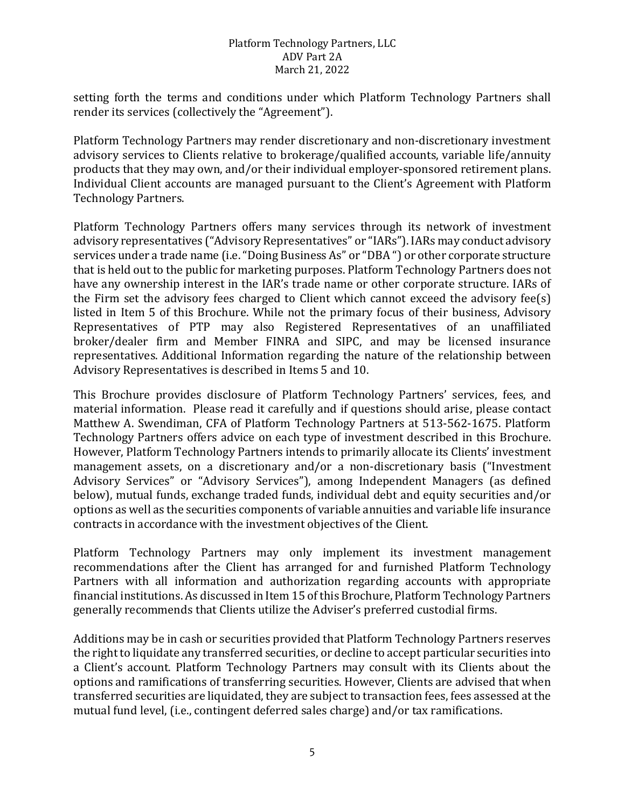setting forth the terms and conditions under which Platform Technology Partners shall render its services (collectively the "Agreement").

Platform Technology Partners may render discretionary and non-discretionary investment advisory services to Clients relative to brokerage/qualified accounts, variable life/annuity products that they may own, and/or their individual employer-sponsored retirement plans. Individual Client accounts are managed pursuant to the Client's Agreement with Platform Technology Partners.

Platform Technology Partners offers many services through its network of investment advisory representatives ("Advisory Representatives" or "IARs"). IARs may conduct advisory services under a trade name (i.e. "Doing Business As" or "DBA ") or other corporate structure that is held out to the public for marketing purposes. Platform Technology Partners does not have any ownership interest in the IAR's trade name or other corporate structure. IARs of the Firm set the advisory fees charged to Client which cannot exceed the advisory fee(s) listed in Item 5 of this Brochure. While not the primary focus of their business, Advisory Representatives of PTP may also Registered Representatives of an unaffiliated broker/dealer firm and Member FINRA and SIPC, and may be licensed insurance representatives. Additional Information regarding the nature of the relationship between Advisory Representatives is described in Items 5 and 10.

This Brochure provides disclosure of Platform Technology Partners' services, fees, and material information. Please read it carefully and if questions should arise, please contact Matthew A. Swendiman, CFA of Platform Technology Partners at 513-562-1675. Platform Technology Partners offers advice on each type of investment described in this Brochure. However, Platform Technology Partners intends to primarily allocate its Clients' investment management assets, on a discretionary and/or a non-discretionary basis ("Investment Advisory Services" or "Advisory Services"), among Independent Managers (as defined below), mutual funds, exchange traded funds, individual debt and equity securities and/or options as well as the securities components of variable annuities and variable life insurance contracts in accordance with the investment objectives of the Client.

Platform Technology Partners may only implement its investment management recommendations after the Client has arranged for and furnished Platform Technology Partners with all information and authorization regarding accounts with appropriate financial institutions. As discussed in Item 15 of this Brochure, Platform Technology Partners generally recommends that Clients utilize the Adviser's preferred custodial firms.

Additions may be in cash or securities provided that Platform Technology Partners reserves the right to liquidate any transferred securities, or decline to accept particular securities into a Client's account. Platform Technology Partners may consult with its Clients about the options and ramifications of transferring securities. However, Clients are advised that when transferred securities are liquidated, they are subject to transaction fees, fees assessed at the mutual fund level, (i.e., contingent deferred sales charge) and/or tax ramifications.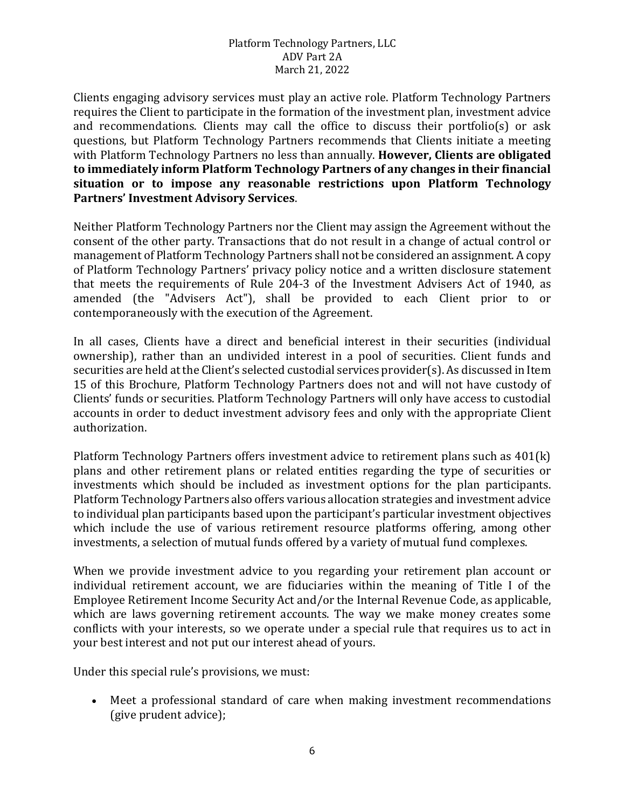Clients engaging advisory services must play an active role. Platform Technology Partners requires the Client to participate in the formation of the investment plan, investment advice and recommendations. Clients may call the office to discuss their portfolio(s) or ask questions, but Platform Technology Partners recommends that Clients initiate a meeting with Platform Technology Partners no less than annually. **However, Clients are obligated to immediately inform Platform Technology Partners of any changes in their financial situation or to impose any reasonable restrictions upon Platform Technology Partners' Investment Advisory Services**.

Neither Platform Technology Partners nor the Client may assign the Agreement without the consent of the other party. Transactions that do not result in a change of actual control or management of Platform Technology Partners shall not be considered an assignment. A copy of Platform Technology Partners' privacy policy notice and a written disclosure statement that meets the requirements of Rule 204-3 of the Investment Advisers Act of 1940, as amended (the "Advisers Act"), shall be provided to each Client prior to or contemporaneously with the execution of the Agreement.

In all cases, Clients have a direct and beneficial interest in their securities (individual ownership), rather than an undivided interest in a pool of securities. Client funds and securities are held at the Client's selected custodial services provider(s). As discussed in Item 15 of this Brochure, Platform Technology Partners does not and will not have custody of Clients' funds or securities. Platform Technology Partners will only have access to custodial accounts in order to deduct investment advisory fees and only with the appropriate Client authorization.

Platform Technology Partners offers investment advice to retirement plans such as 401(k) plans and other retirement plans or related entities regarding the type of securities or investments which should be included as investment options for the plan participants. Platform Technology Partners also offers various allocation strategies and investment advice to individual plan participants based upon the participant's particular investment objectives which include the use of various retirement resource platforms offering, among other investments, a selection of mutual funds offered by a variety of mutual fund complexes.

When we provide investment advice to you regarding your retirement plan account or individual retirement account, we are fiduciaries within the meaning of Title I of the Employee Retirement Income Security Act and/or the Internal Revenue Code, as applicable, which are laws governing retirement accounts. The way we make money creates some conflicts with your interests, so we operate under a special rule that requires us to act in your best interest and not put our interest ahead of yours.

Under this special rule's provisions, we must:

• Meet a professional standard of care when making investment recommendations (give prudent advice);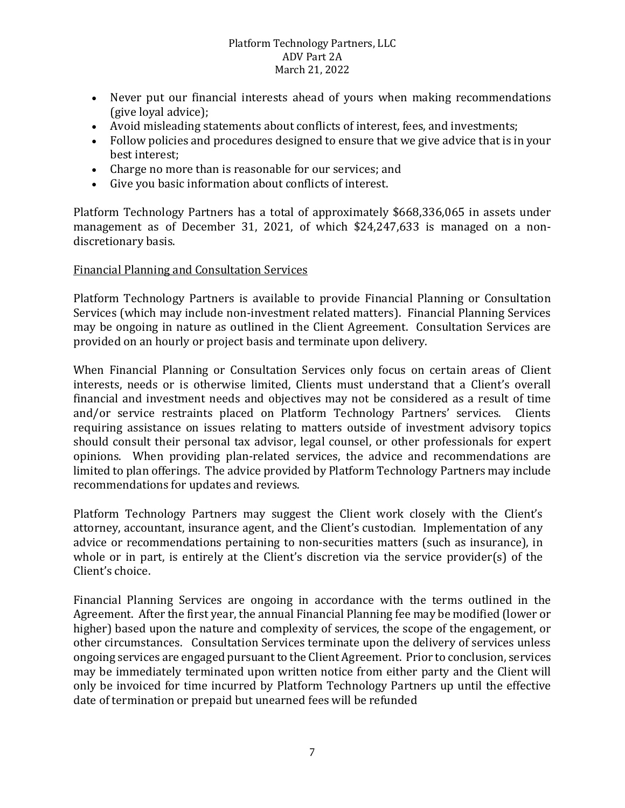- Never put our financial interests ahead of yours when making recommendations (give loyal advice);
- Avoid misleading statements about conflicts of interest, fees, and investments;
- Follow policies and procedures designed to ensure that we give advice that is in your best interest;
- Charge no more than is reasonable for our services; and
- Give you basic information about conflicts of interest.

Platform Technology Partners has a total of approximately \$668,336,065 in assets under management as of December 31, 2021, of which \$24,247,633 is managed on a nondiscretionary basis.

### Financial Planning and Consultation Services

Platform Technology Partners is available to provide Financial Planning or Consultation Services (which may include non-investment related matters). Financial Planning Services may be ongoing in nature as outlined in the Client Agreement. Consultation Services are provided on an hourly or project basis and terminate upon delivery.

When Financial Planning or Consultation Services only focus on certain areas of Client interests, needs or is otherwise limited, Clients must understand that a Client's overall financial and investment needs and objectives may not be considered as a result of time and/or service restraints placed on Platform Technology Partners' services. Clients requiring assistance on issues relating to matters outside of investment advisory topics should consult their personal tax advisor, legal counsel, or other professionals for expert opinions. When providing plan-related services, the advice and recommendations are limited to plan offerings. The advice provided by Platform Technology Partners may include recommendations for updates and reviews.

Platform Technology Partners may suggest the Client work closely with the Client's attorney, accountant, insurance agent, and the Client's custodian. Implementation of any advice or recommendations pertaining to non-securities matters (such as insurance), in whole or in part, is entirely at the Client's discretion via the service provider(s) of the Client's choice.

Financial Planning Services are ongoing in accordance with the terms outlined in the Agreement. After the first year, the annual Financial Planning fee may be modified (lower or higher) based upon the nature and complexity of services, the scope of the engagement, or other circumstances. Consultation Services terminate upon the delivery of services unless ongoing services are engaged pursuant to the Client Agreement. Prior to conclusion, services may be immediately terminated upon written notice from either party and the Client will only be invoiced for time incurred by Platform Technology Partners up until the effective date of termination or prepaid but unearned fees will be refunded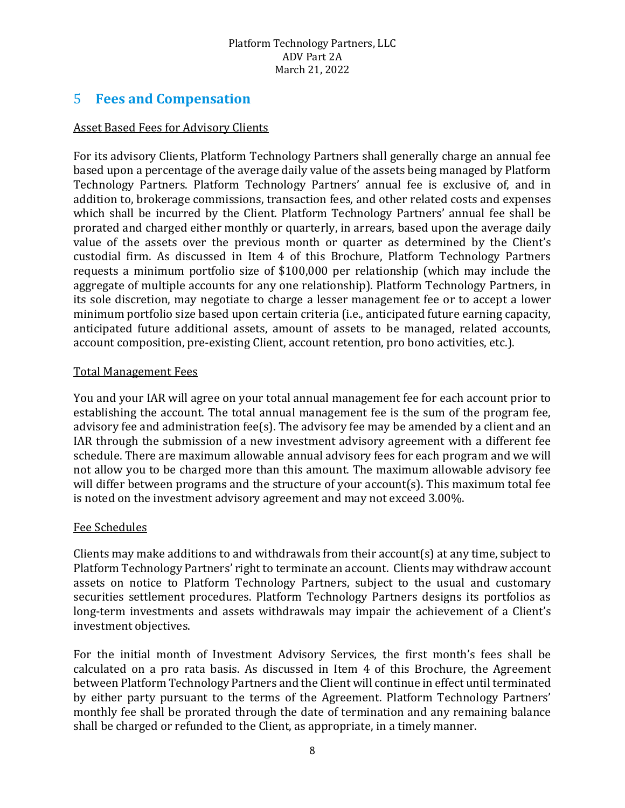### 5 **Fees and Compensation**

### Asset Based Fees for Advisory Clients

For its advisory Clients, Platform Technology Partners shall generally charge an annual fee based upon a percentage of the average daily value of the assets being managed by Platform Technology Partners. Platform Technology Partners' annual fee is exclusive of, and in addition to, brokerage commissions, transaction fees, and other related costs and expenses which shall be incurred by the Client. Platform Technology Partners' annual fee shall be prorated and charged either monthly or quarterly, in arrears, based upon the average daily value of the assets over the previous month or quarter as determined by the Client's custodial firm. As discussed in Item 4 of this Brochure, Platform Technology Partners requests a minimum portfolio size of \$100,000 per relationship (which may include the aggregate of multiple accounts for any one relationship). Platform Technology Partners, in its sole discretion, may negotiate to charge a lesser management fee or to accept a lower minimum portfolio size based upon certain criteria (i.e., anticipated future earning capacity, anticipated future additional assets, amount of assets to be managed, related accounts, account composition, pre-existing Client, account retention, pro bono activities, etc.).

### Total Management Fees

You and your IAR will agree on your total annual management fee for each account prior to establishing the account. The total annual management fee is the sum of the program fee, advisory fee and administration fee(s). The advisory fee may be amended by a client and an IAR through the submission of a new investment advisory agreement with a different fee schedule. There are maximum allowable annual advisory fees for each program and we will not allow you to be charged more than this amount. The maximum allowable advisory fee will differ between programs and the structure of your account(s). This maximum total fee is noted on the investment advisory agreement and may not exceed 3.00%.

### Fee Schedules

Clients may make additions to and withdrawals from their account(s) at any time, subject to Platform Technology Partners' right to terminate an account. Clients may withdraw account assets on notice to Platform Technology Partners, subject to the usual and customary securities settlement procedures. Platform Technology Partners designs its portfolios as long-term investments and assets withdrawals may impair the achievement of a Client's investment objectives.

For the initial month of Investment Advisory Services, the first month's fees shall be calculated on a pro rata basis. As discussed in Item 4 of this Brochure, the Agreement between Platform Technology Partners and the Client will continue in effect until terminated by either party pursuant to the terms of the Agreement. Platform Technology Partners' monthly fee shall be prorated through the date of termination and any remaining balance shall be charged or refunded to the Client, as appropriate, in a timely manner.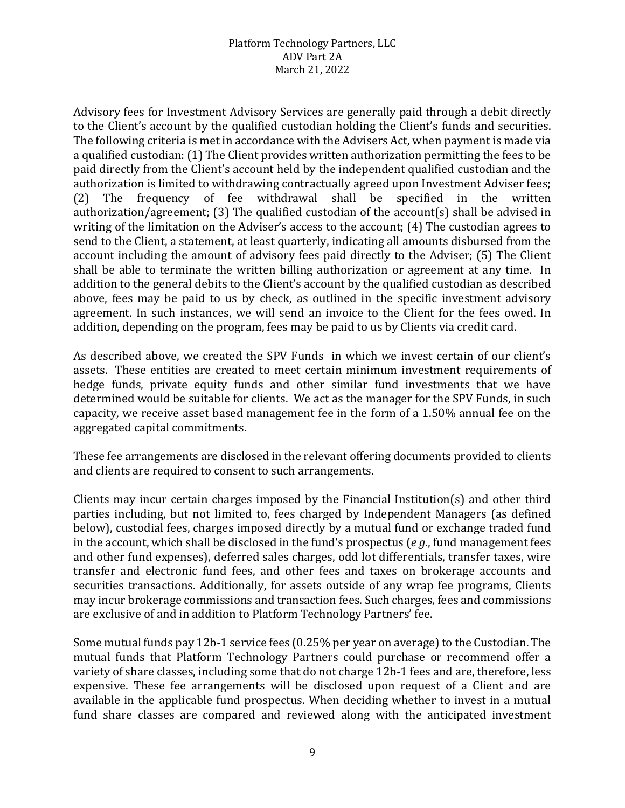Advisory fees for Investment Advisory Services are generally paid through a debit directly to the Client's account by the qualified custodian holding the Client's funds and securities. The following criteria is met in accordance with the Advisers Act, when payment is made via a qualified custodian: (1) The Client provides written authorization permitting the fees to be paid directly from the Client's account held by the independent qualified custodian and the authorization is limited to withdrawing contractually agreed upon Investment Adviser fees;<br>(2) The frequency of fee withdrawal shall be specified in the written frequency of fee withdrawal shall be specified in the written authorization/agreement; (3) The qualified custodian of the account(s) shall be advised in writing of the limitation on the Adviser's access to the account; (4) The custodian agrees to send to the Client, a statement, at least quarterly, indicating all amounts disbursed from the account including the amount of advisory fees paid directly to the Adviser; (5) The Client shall be able to terminate the written billing authorization or agreement at any time. In addition to the general debits to the Client's account by the qualified custodian as described above, fees may be paid to us by check, as outlined in the specific investment advisory agreement. In such instances, we will send an invoice to the Client for the fees owed. In addition, depending on the program, fees may be paid to us by Clients via credit card.

As described above, we created the SPV Funds in which we invest certain of our client's assets. These entities are created to meet certain minimum investment requirements of hedge funds, private equity funds and other similar fund investments that we have determined would be suitable for clients. We act as the manager for the SPV Funds, in such capacity, we receive asset based management fee in the form of a 1.50% annual fee on the aggregated capital commitments.

These fee arrangements are disclosed in the relevant offering documents provided to clients and clients are required to consent to such arrangements.

Clients may incur certain charges imposed by the Financial Institution(s) and other third parties including, but not limited to, fees charged by Independent Managers (as defined below), custodial fees, charges imposed directly by a mutual fund or exchange traded fund in the account, which shall be disclosed in the fund's prospectus (*e g*., fund management fees and other fund expenses), deferred sales charges, odd lot differentials, transfer taxes, wire transfer and electronic fund fees, and other fees and taxes on brokerage accounts and securities transactions. Additionally, for assets outside of any wrap fee programs, Clients may incur brokerage commissions and transaction fees. Such charges, fees and commissions are exclusive of and in addition to Platform Technology Partners' fee.

Some mutual funds pay 12b-1 service fees (0.25% per year on average) to the Custodian. The mutual funds that Platform Technology Partners could purchase or recommend offer a variety of share classes, including some that do not charge 12b-1 fees and are, therefore, less expensive. These fee arrangements will be disclosed upon request of a Client and are available in the applicable fund prospectus. When deciding whether to invest in a mutual fund share classes are compared and reviewed along with the anticipated investment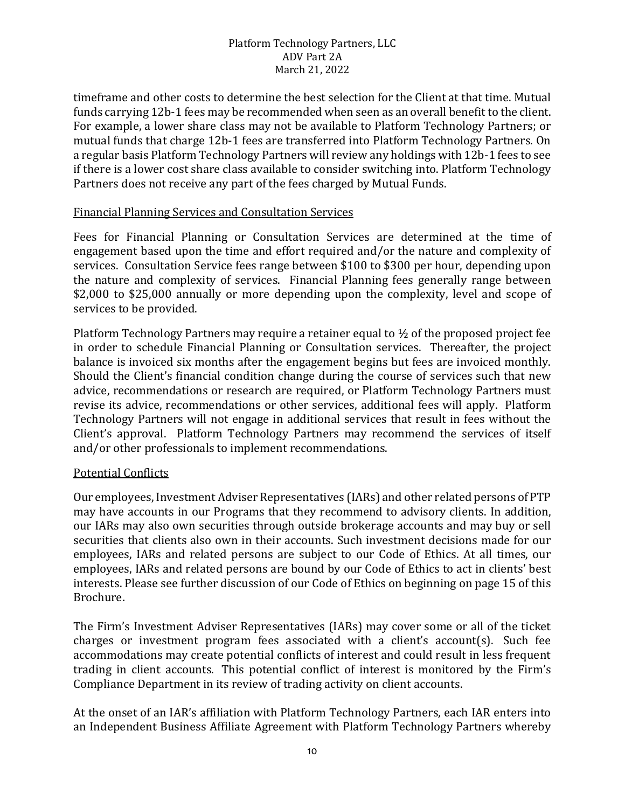timeframe and other costs to determine the best selection for the Client at that time. Mutual funds carrying 12b-1 fees may be recommended when seen as an overall benefit to the client. For example, a lower share class may not be available to Platform Technology Partners; or mutual funds that charge 12b-1 fees are transferred into Platform Technology Partners. On a regular basis Platform Technology Partners will review any holdings with 12b-1 fees to see if there is a lower cost share class available to consider switching into. Platform Technology Partners does not receive any part of the fees charged by Mutual Funds.

### Financial Planning Services and Consultation Services

Fees for Financial Planning or Consultation Services are determined at the time of engagement based upon the time and effort required and/or the nature and complexity of services. Consultation Service fees range between \$100 to \$300 per hour, depending upon the nature and complexity of services. Financial Planning fees generally range between \$2,000 to \$25,000 annually or more depending upon the complexity, level and scope of services to be provided.

Platform Technology Partners may require a retainer equal to ½ of the proposed project fee in order to schedule Financial Planning or Consultation services. Thereafter, the project balance is invoiced six months after the engagement begins but fees are invoiced monthly. Should the Client's financial condition change during the course of services such that new advice, recommendations or research are required, or Platform Technology Partners must revise its advice, recommendations or other services, additional fees will apply. Platform Technology Partners will not engage in additional services that result in fees without the Client's approval. Platform Technology Partners may recommend the services of itself and/or other professionals to implement recommendations.

### Potential Conflicts

Our employees, Investment Adviser Representatives (IARs) and other related persons of PTP may have accounts in our Programs that they recommend to advisory clients. In addition, our IARs may also own securities through outside brokerage accounts and may buy or sell securities that clients also own in their accounts. Such investment decisions made for our employees, IARs and related persons are subject to our Code of Ethics. At all times, our employees, IARs and related persons are bound by our Code of Ethics to act in clients' best interests. Please see further discussion of our Code of Ethics on beginning on page 15 of this Brochure.

The Firm's Investment Adviser Representatives (IARs) may cover some or all of the ticket charges or investment program fees associated with a client's account(s). Such fee accommodations may create potential conflicts of interest and could result in less frequent trading in client accounts. This potential conflict of interest is monitored by the Firm's Compliance Department in its review of trading activity on client accounts.

At the onset of an IAR's affiliation with Platform Technology Partners, each IAR enters into an Independent Business Affiliate Agreement with Platform Technology Partners whereby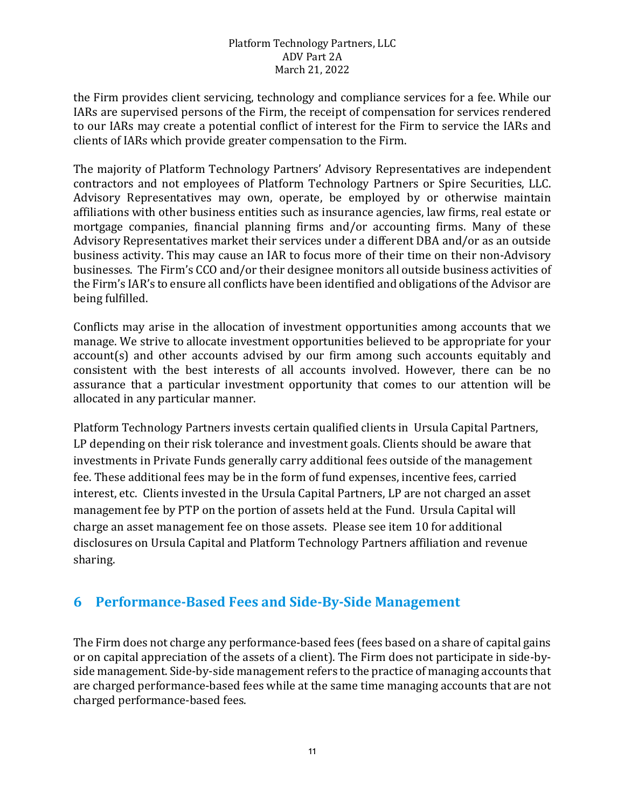the Firm provides client servicing, technology and compliance services for a fee. While our IARs are supervised persons of the Firm, the receipt of compensation for services rendered to our IARs may create a potential conflict of interest for the Firm to service the IARs and clients of IARs which provide greater compensation to the Firm.

The majority of Platform Technology Partners' Advisory Representatives are independent contractors and not employees of Platform Technology Partners or Spire Securities, LLC. Advisory Representatives may own, operate, be employed by or otherwise maintain affiliations with other business entities such as insurance agencies, law firms, real estate or mortgage companies, financial planning firms and/or accounting firms. Many of these Advisory Representatives market their services under a different DBA and/or as an outside business activity. This may cause an IAR to focus more of their time on their non-Advisory businesses. The Firm's CCO and/or their designee monitors all outside business activities of the Firm's IAR's to ensure all conflicts have been identified and obligations of the Advisor are being fulfilled.

Conflicts may arise in the allocation of investment opportunities among accounts that we manage. We strive to allocate investment opportunities believed to be appropriate for your account(s) and other accounts advised by our firm among such accounts equitably and consistent with the best interests of all accounts involved. However, there can be no assurance that a particular investment opportunity that comes to our attention will be allocated in any particular manner.

Platform Technology Partners invests certain qualified clients in Ursula Capital Partners, LP depending on their risk tolerance and investment goals. Clients should be aware that investments in Private Funds generally carry additional fees outside of the management fee. These additional fees may be in the form of fund expenses, incentive fees, carried interest, etc. Clients invested in the Ursula Capital Partners, LP are not charged an asset management fee by PTP on the portion of assets held at the Fund. Ursula Capital will charge an asset management fee on those assets. Please see item 10 for additional disclosures on Ursula Capital and Platform Technology Partners affiliation and revenue sharing.

# **6 Performance-Based Fees and Side-By-Side Management**

The Firm does not charge any performance-based fees (fees based on a share of capital gains or on capital appreciation of the assets of a client). The Firm does not participate in side-byside management. Side-by-side management refers to the practice of managing accounts that are charged performance-based fees while at the same time managing accounts that are not charged performance-based fees.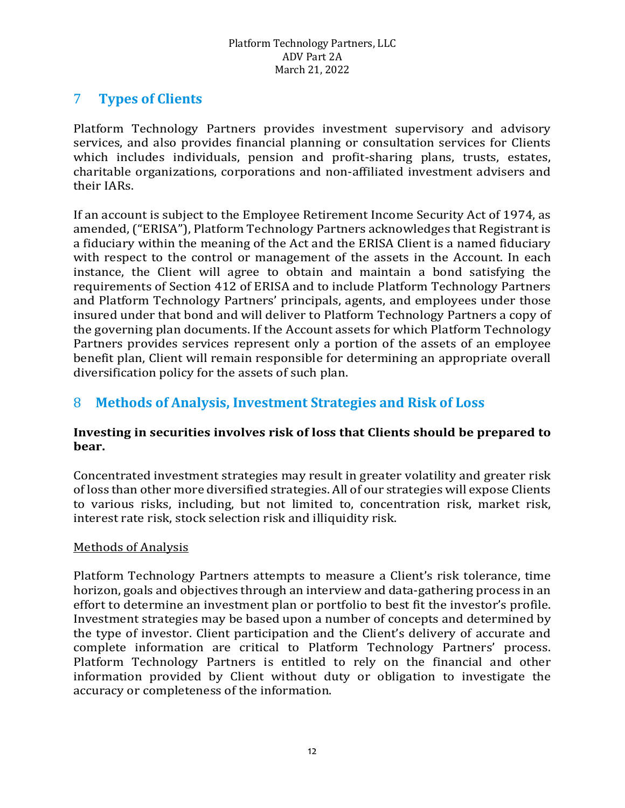# 7 **Types of Clients**

Platform Technology Partners provides investment supervisory and advisory services, and also provides financial planning or consultation services for Clients which includes individuals, pension and profit-sharing plans, trusts, estates, charitable organizations, corporations and non-affiliated investment advisers and their IARs.

If an account is subject to the Employee Retirement Income Security Act of 1974, as amended, ("ERISA"), Platform Technology Partners acknowledges that Registrant is a fiduciary within the meaning of the Act and the ERISA Client is a named fiduciary with respect to the control or management of the assets in the Account. In each instance, the Client will agree to obtain and maintain a bond satisfying the requirements of Section 412 of ERISA and to include Platform Technology Partners and Platform Technology Partners' principals, agents, and employees under those insured under that bond and will deliver to Platform Technology Partners a copy of the governing plan documents. If the Account assets for which Platform Technology Partners provides services represent only a portion of the assets of an employee benefit plan, Client will remain responsible for determining an appropriate overall diversification policy for the assets of such plan.

# 8 **Methods of Analysis, Investment Strategies and Risk of Loss**

### **Investing in securities involves risk of loss that Clients should be prepared to bear.**

Concentrated investment strategies may result in greater volatility and greater risk of loss than other more diversified strategies. All of our strategies will expose Clients to various risks, including, but not limited to, concentration risk, market risk, interest rate risk, stock selection risk and illiquidity risk.

### Methods of Analysis

Platform Technology Partners attempts to measure a Client's risk tolerance, time horizon, goals and objectives through an interview and data-gathering process in an effort to determine an investment plan or portfolio to best fit the investor's profile. Investment strategies may be based upon a number of concepts and determined by the type of investor. Client participation and the Client's delivery of accurate and complete information are critical to Platform Technology Partners' process. Platform Technology Partners is entitled to rely on the financial and other information provided by Client without duty or obligation to investigate the accuracy or completeness of the information.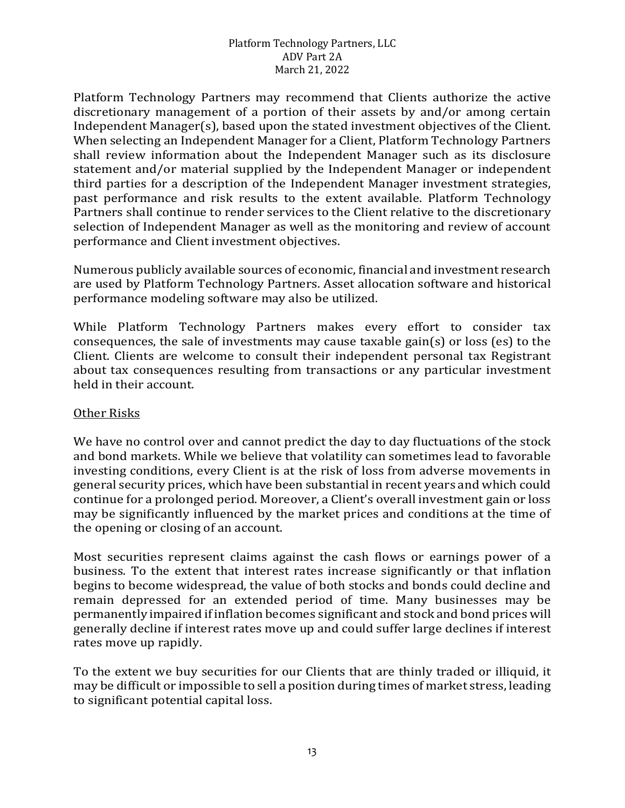Platform Technology Partners may recommend that Clients authorize the active discretionary management of a portion of their assets by and/or among certain Independent Manager(s), based upon the stated investment objectives of the Client. When selecting an Independent Manager for a Client, Platform Technology Partners shall review information about the Independent Manager such as its disclosure statement and/or material supplied by the Independent Manager or independent third parties for a description of the Independent Manager investment strategies, past performance and risk results to the extent available. Platform Technology Partners shall continue to render services to the Client relative to the discretionary selection of Independent Manager as well as the monitoring and review of account performance and Client investment objectives.

Numerous publicly available sources of economic, financial and investment research are used by Platform Technology Partners. Asset allocation software and historical performance modeling software may also be utilized.

While Platform Technology Partners makes every effort to consider tax consequences, the sale of investments may cause taxable gain(s) or loss (es) to the Client. Clients are welcome to consult their independent personal tax Registrant about tax consequences resulting from transactions or any particular investment held in their account.

### Other Risks

We have no control over and cannot predict the day to day fluctuations of the stock and bond markets. While we believe that volatility can sometimes lead to favorable investing conditions, every Client is at the risk of loss from adverse movements in general security prices, which have been substantial in recent years and which could continue for a prolonged period. Moreover, a Client's overall investment gain or loss may be significantly influenced by the market prices and conditions at the time of the opening or closing of an account.

Most securities represent claims against the cash flows or earnings power of a business. To the extent that interest rates increase significantly or that inflation begins to become widespread, the value of both stocks and bonds could decline and remain depressed for an extended period of time. Many businesses may be permanently impaired if inflation becomes significant and stock and bond prices will generally decline if interest rates move up and could suffer large declines if interest rates move up rapidly.

To the extent we buy securities for our Clients that are thinly traded or illiquid, it may be difficult or impossible to sell a position during times of market stress, leading to significant potential capital loss.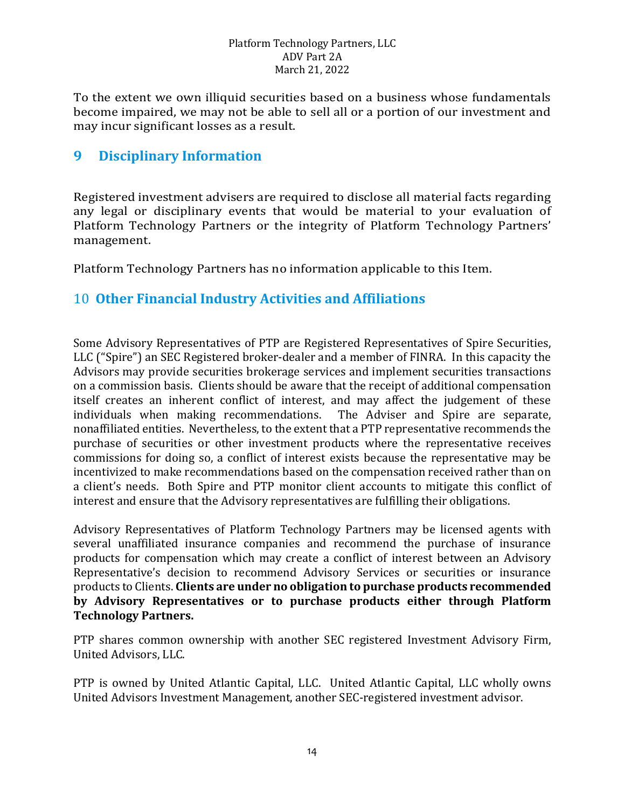To the extent we own illiquid securities based on a business whose fundamentals become impaired, we may not be able to sell all or a portion of our investment and may incur significant losses as a result.

# **9 Disciplinary Information**

Registered investment advisers are required to disclose all material facts regarding any legal or disciplinary events that would be material to your evaluation of Platform Technology Partners or the integrity of Platform Technology Partners' management.

Platform Technology Partners has no information applicable to this Item.

### 10 **Other Financial Industry Activities and Affiliations**

Some Advisory Representatives of PTP are Registered Representatives of Spire Securities, LLC ("Spire") an SEC Registered broker-dealer and a member of FINRA. In this capacity the Advisors may provide securities brokerage services and implement securities transactions on a commission basis. Clients should be aware that the receipt of additional compensation itself creates an inherent conflict of interest, and may affect the judgement of these individuals when making recommendations. The Adviser and Spire are separate, individuals when making recommendations. nonaffiliated entities. Nevertheless, to the extent that a PTP representative recommends the purchase of securities or other investment products where the representative receives commissions for doing so, a conflict of interest exists because the representative may be incentivized to make recommendations based on the compensation received rather than on a client's needs. Both Spire and PTP monitor client accounts to mitigate this conflict of interest and ensure that the Advisory representatives are fulfilling their obligations.

Advisory Representatives of Platform Technology Partners may be licensed agents with several unaffiliated insurance companies and recommend the purchase of insurance products for compensation which may create a conflict of interest between an Advisory Representative's decision to recommend Advisory Services or securities or insurance products to Clients. **Clients are under no obligation to purchase products recommended by Advisory Representatives or to purchase products either through Platform Technology Partners.** 

PTP shares common ownership with another SEC registered Investment Advisory Firm, United Advisors, LLC.

PTP is owned by United Atlantic Capital, LLC. United Atlantic Capital, LLC wholly owns United Advisors Investment Management, another SEC-registered investment advisor.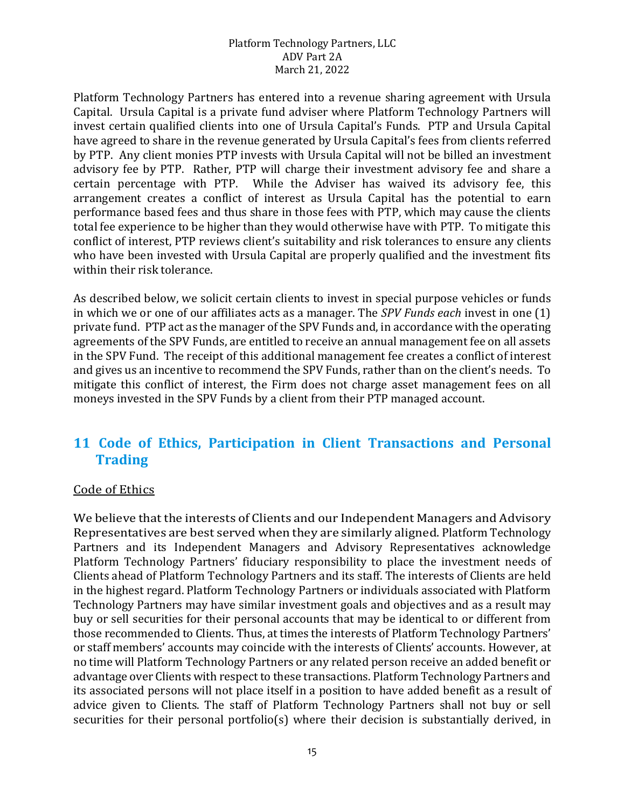Platform Technology Partners has entered into a revenue sharing agreement with Ursula Capital. Ursula Capital is a private fund adviser where Platform Technology Partners will invest certain qualified clients into one of Ursula Capital's Funds. PTP and Ursula Capital have agreed to share in the revenue generated by Ursula Capital's fees from clients referred by PTP. Any client monies PTP invests with Ursula Capital will not be billed an investment advisory fee by PTP. Rather, PTP will charge their investment advisory fee and share a certain percentage with PTP. While the Adviser has waived its advisory fee, this arrangement creates a conflict of interest as Ursula Capital has the potential to earn performance based fees and thus share in those fees with PTP, which may cause the clients total fee experience to be higher than they would otherwise have with PTP. To mitigate this conflict of interest, PTP reviews client's suitability and risk tolerances to ensure any clients who have been invested with Ursula Capital are properly qualified and the investment fits within their risk tolerance.

As described below, we solicit certain clients to invest in special purpose vehicles or funds in which we or one of our affiliates acts as a manager. The *SPV Funds each* invest in one (1) private fund. PTP act as the manager of the SPV Funds and, in accordance with the operating agreements of the SPV Funds, are entitled to receive an annual management fee on all assets in the SPV Fund. The receipt of this additional management fee creates a conflict of interest and gives us an incentive to recommend the SPV Funds, rather than on the client's needs. To mitigate this conflict of interest, the Firm does not charge asset management fees on all moneys invested in the SPV Funds by a client from their PTP managed account.

# **11 Code of Ethics, Participation in Client Transactions and Personal Trading**

#### Code of Ethics

We believe that the interests of Clients and our Independent Managers and Advisory Representatives are best served when they are similarly aligned. Platform Technology Partners and its Independent Managers and Advisory Representatives acknowledge Platform Technology Partners' fiduciary responsibility to place the investment needs of Clients ahead of Platform Technology Partners and its staff. The interests of Clients are held in the highest regard. Platform Technology Partners or individuals associated with Platform Technology Partners may have similar investment goals and objectives and as a result may buy or sell securities for their personal accounts that may be identical to or different from those recommended to Clients. Thus, at times the interests of Platform Technology Partners' or staff members' accounts may coincide with the interests of Clients' accounts. However, at no time will Platform Technology Partners or any related person receive an added benefit or advantage over Clients with respect to these transactions. Platform Technology Partners and its associated persons will not place itself in a position to have added benefit as a result of advice given to Clients. The staff of Platform Technology Partners shall not buy or sell securities for their personal portfolio(s) where their decision is substantially derived, in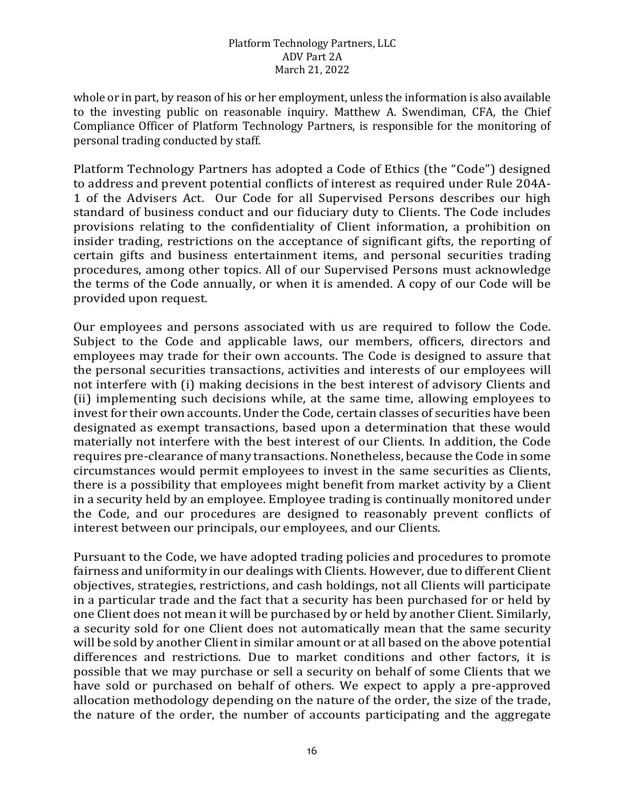whole or in part, by reason of his or her employment, unless the information is also available to the investing public on reasonable inquiry. Matthew A. Swendiman, CFA, the Chief Compliance Officer of Platform Technology Partners, is responsible for the monitoring of personal trading conducted by staff.

Platform Technology Partners has adopted a Code of Ethics (the "Code") designed to address and prevent potential conflicts of interest as required under Rule 204A-1 of the Advisers Act. Our Code for all Supervised Persons describes our high standard of business conduct and our fiduciary duty to Clients. The Code includes provisions relating to the confidentiality of Client information, a prohibition on insider trading, restrictions on the acceptance of significant gifts, the reporting of certain gifts and business entertainment items, and personal securities trading procedures, among other topics. All of our Supervised Persons must acknowledge the terms of the Code annually, or when it is amended. A copy of our Code will be provided upon request.

Our employees and persons associated with us are required to follow the Code. Subject to the Code and applicable laws, our members, officers, directors and employees may trade for their own accounts. The Code is designed to assure that the personal securities transactions, activities and interests of our employees will not interfere with (i) making decisions in the best interest of advisory Clients and (ii) implementing such decisions while, at the same time, allowing employees to invest for their own accounts. Under the Code, certain classes of securities have been designated as exempt transactions, based upon a determination that these would materially not interfere with the best interest of our Clients. In addition, the Code requires pre-clearance of many transactions. Nonetheless, because the Code in some circumstances would permit employees to invest in the same securities as Clients, there is a possibility that employees might benefit from market activity by a Client in a security held by an employee. Employee trading is continually monitored under the Code, and our procedures are designed to reasonably prevent conflicts of interest between our principals, our employees, and our Clients.

Pursuant to the Code, we have adopted trading policies and procedures to promote fairness and uniformity in our dealings with Clients. However, due to different Client objectives, strategies, restrictions, and cash holdings, not all Clients will participate in a particular trade and the fact that a security has been purchased for or held by one Client does not mean it will be purchased by or held by another Client. Similarly, a security sold for one Client does not automatically mean that the same security will be sold by another Client in similar amount or at all based on the above potential differences and restrictions. Due to market conditions and other factors, it is possible that we may purchase or sell a security on behalf of some Clients that we have sold or purchased on behalf of others. We expect to apply a pre-approved allocation methodology depending on the nature of the order, the size of the trade, the nature of the order, the number of accounts participating and the aggregate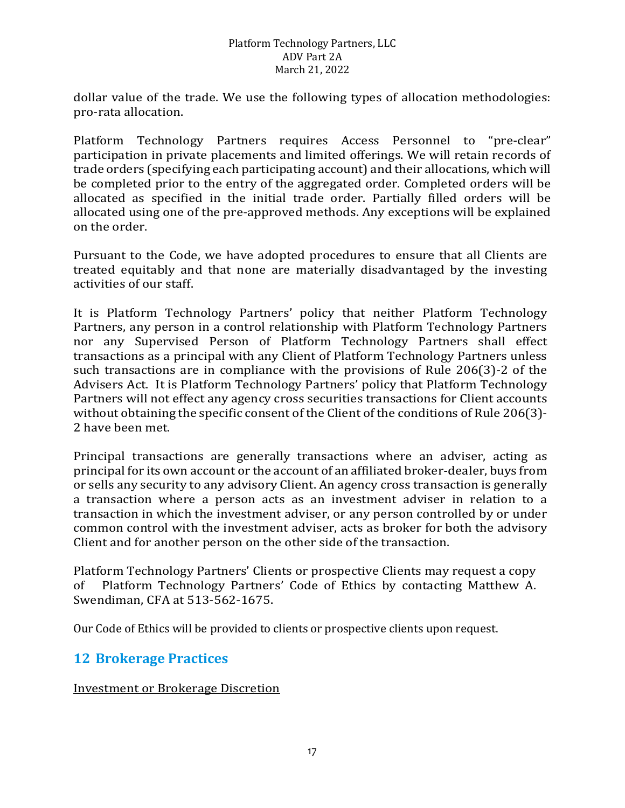dollar value of the trade. We use the following types of allocation methodologies: pro-rata allocation.

Platform Technology Partners requires Access Personnel to "pre-clear" participation in private placements and limited offerings. We will retain records of trade orders (specifying each participating account) and their allocations, which will be completed prior to the entry of the aggregated order. Completed orders will be allocated as specified in the initial trade order. Partially filled orders will be allocated using one of the pre-approved methods. Any exceptions will be explained on the order.

Pursuant to the Code, we have adopted procedures to ensure that all Clients are treated equitably and that none are materially disadvantaged by the investing activities of our staff.

It is Platform Technology Partners' policy that neither Platform Technology Partners, any person in a control relationship with Platform Technology Partners nor any Supervised Person of Platform Technology Partners shall effect transactions as a principal with any Client of Platform Technology Partners unless such transactions are in compliance with the provisions of Rule 206(3)-2 of the Advisers Act. It is Platform Technology Partners' policy that Platform Technology Partners will not effect any agency cross securities transactions for Client accounts without obtaining the specific consent of the Client of the conditions of Rule 206(3)- 2 have been met.

Principal transactions are generally transactions where an adviser, acting as principal for its own account or the account of an affiliated broker-dealer, buys from or sells any security to any advisory Client. An agency cross transaction is generally a transaction where a person acts as an investment adviser in relation to a transaction in which the investment adviser, or any person controlled by or under common control with the investment adviser, acts as broker for both the advisory Client and for another person on the other side of the transaction.

Platform Technology Partners' Clients or prospective Clients may request a copy<br>of Platform Technology Partners' Code of Ethics by contacting Matthew A. Platform Technology Partners' Code of Ethics by contacting Matthew A. Swendiman, CFA at 513-562-1675.

Our Code of Ethics will be provided to clients or prospective clients upon request.

### **12 Brokerage Practices**

Investment or Brokerage Discretion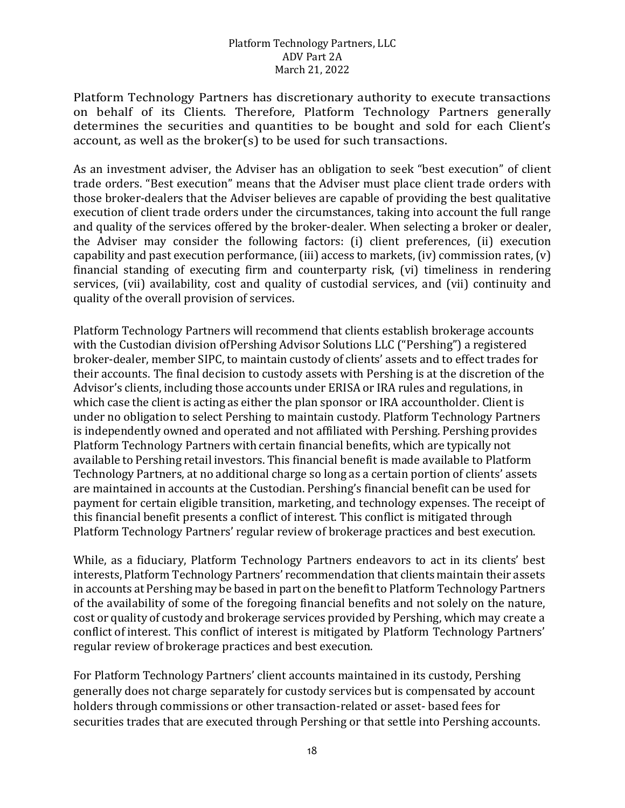Platform Technology Partners has discretionary authority to execute transactions on behalf of its Clients. Therefore, Platform Technology Partners generally determines the securities and quantities to be bought and sold for each Client's account, as well as the broker(s) to be used for such transactions.

As an investment adviser, the Adviser has an obligation to seek "best execution" of client trade orders. "Best execution" means that the Adviser must place client trade orders with those broker-dealers that the Adviser believes are capable of providing the best qualitative execution of client trade orders under the circumstances, taking into account the full range and quality of the services offered by the broker-dealer. When selecting a broker or dealer, the Adviser may consider the following factors: (i) client preferences, (ii) execution capability and past execution performance, (iii) access to markets, (iv) commission rates,  $(v)$ financial standing of executing firm and counterparty risk, (vi) timeliness in rendering services, (vii) availability, cost and quality of custodial services, and (vii) continuity and quality of the overall provision of services.

Platform Technology Partners will recommend that clients establish brokerage accounts with the Custodian division ofPershing Advisor Solutions LLC ("Pershing") a registered broker-dealer, member SIPC, to maintain custody of clients' assets and to effect trades for their accounts. The final decision to custody assets with Pershing is at the discretion of the Advisor's clients, including those accounts under ERISA or IRA rules and regulations, in which case the client is acting as either the plan sponsor or IRA accountholder. Client is under no obligation to select Pershing to maintain custody. Platform Technology Partners is independently owned and operated and not affiliated with Pershing. Pershing provides Platform Technology Partners with certain financial benefits, which are typically not available to Pershing retail investors. This financial benefit is made available to Platform Technology Partners, at no additional charge so long as a certain portion of clients' assets are maintained in accounts at the Custodian. Pershing's financial benefit can be used for payment for certain eligible transition, marketing, and technology expenses. The receipt of this financial benefit presents a conflict of interest. This conflict is mitigated through Platform Technology Partners' regular review of brokerage practices and best execution.

While, as a fiduciary, Platform Technology Partners endeavors to act in its clients' best interests, Platform Technology Partners' recommendation that clients maintain their assets in accounts at Pershing may be based in part on the benefit to Platform Technology Partners of the availability of some of the foregoing financial benefits and not solely on the nature, cost or quality of custody and brokerage services provided by Pershing, which may create a conflict of interest. This conflict of interest is mitigated by Platform Technology Partners' regular review of brokerage practices and best execution.

For Platform Technology Partners' client accounts maintained in its custody, Pershing generally does not charge separately for custody services but is compensated by account holders through commissions or other transaction-related or asset- based fees for securities trades that are executed through Pershing or that settle into Pershing accounts.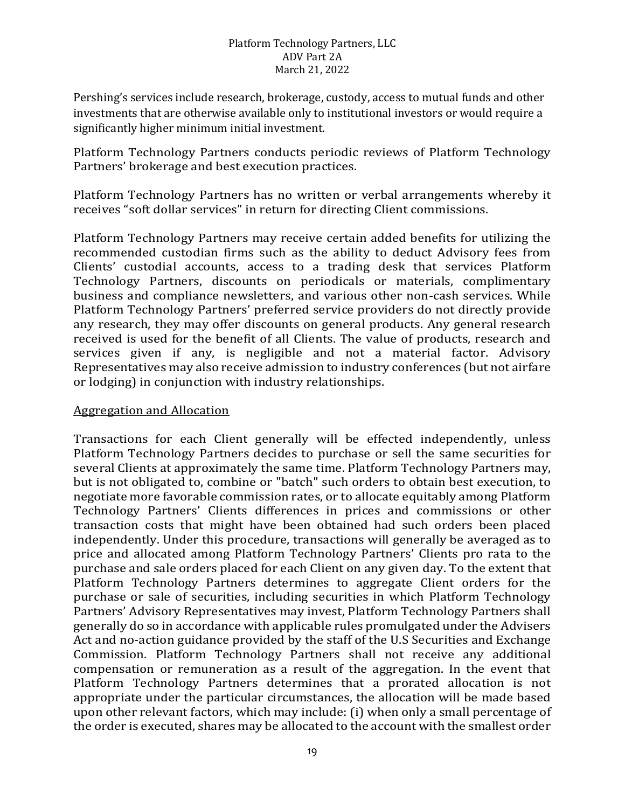Pershing's services include research, brokerage, custody, access to mutual funds and other investments that are otherwise available only to institutional investors or would require a significantly higher minimum initial investment.

Platform Technology Partners conducts periodic reviews of Platform Technology Partners' brokerage and best execution practices.

Platform Technology Partners has no written or verbal arrangements whereby it receives "soft dollar services" in return for directing Client commissions.

Platform Technology Partners may receive certain added benefits for utilizing the recommended custodian firms such as the ability to deduct Advisory fees from Clients' custodial accounts, access to a trading desk that services Platform Technology Partners, discounts on periodicals or materials, complimentary business and compliance newsletters, and various other non-cash services. While Platform Technology Partners' preferred service providers do not directly provide any research, they may offer discounts on general products. Any general research received is used for the benefit of all Clients. The value of products, research and services given if any, is negligible and not a material factor. Advisory Representatives may also receive admission to industry conferences (but not airfare or lodging) in conjunction with industry relationships.

### Aggregation and Allocation

Transactions for each Client generally will be effected independently, unless Platform Technology Partners decides to purchase or sell the same securities for several Clients at approximately the same time. Platform Technology Partners may, but is not obligated to, combine or "batch" such orders to obtain best execution, to negotiate more favorable commission rates, or to allocate equitably among Platform Technology Partners' Clients differences in prices and commissions or other transaction costs that might have been obtained had such orders been placed independently. Under this procedure, transactions will generally be averaged as to price and allocated among Platform Technology Partners' Clients pro rata to the purchase and sale orders placed for each Client on any given day. To the extent that Platform Technology Partners determines to aggregate Client orders for the purchase or sale of securities, including securities in which Platform Technology Partners' Advisory Representatives may invest, Platform Technology Partners shall generally do so in accordance with applicable rules promulgated under the Advisers Act and no-action guidance provided by the staff of the U.S Securities and Exchange Commission. Platform Technology Partners shall not receive any additional compensation or remuneration as a result of the aggregation. In the event that Platform Technology Partners determines that a prorated allocation is not appropriate under the particular circumstances, the allocation will be made based upon other relevant factors, which may include: (i) when only a small percentage of the order is executed, shares may be allocated to the account with the smallest order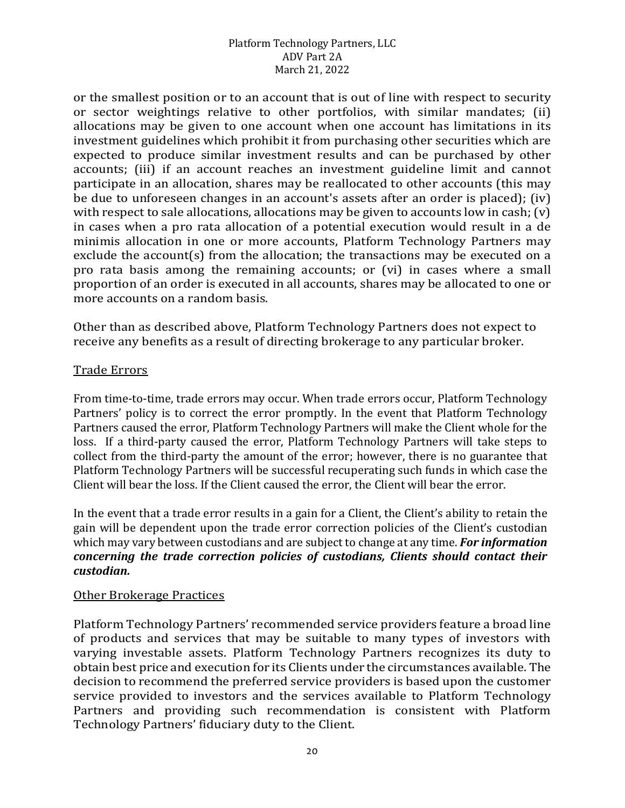or the smallest position or to an account that is out of line with respect to security or sector weightings relative to other portfolios, with similar mandates; (ii) allocations may be given to one account when one account has limitations in its investment guidelines which prohibit it from purchasing other securities which are expected to produce similar investment results and can be purchased by other accounts; (iii) if an account reaches an investment guideline limit and cannot participate in an allocation, shares may be reallocated to other accounts (this may be due to unforeseen changes in an account's assets after an order is placed); (iv) with respect to sale allocations, allocations may be given to accounts low in cash; (v) in cases when a pro rata allocation of a potential execution would result in a de minimis allocation in one or more accounts, Platform Technology Partners may exclude the account(s) from the allocation; the transactions may be executed on a pro rata basis among the remaining accounts; or (vi) in cases where a small proportion of an order is executed in all accounts, shares may be allocated to one or more accounts on a random basis.

Other than as described above, Platform Technology Partners does not expect to receive any benefits as a result of directing brokerage to any particular broker.

### Trade Errors

From time-to-time, trade errors may occur. When trade errors occur, Platform Technology Partners' policy is to correct the error promptly. In the event that Platform Technology Partners caused the error, Platform Technology Partners will make the Client whole for the loss. If a third-party caused the error, Platform Technology Partners will take steps to collect from the third-party the amount of the error; however, there is no guarantee that Platform Technology Partners will be successful recuperating such funds in which case the Client will bear the loss. If the Client caused the error, the Client will bear the error.

In the event that a trade error results in a gain for a Client, the Client's ability to retain the gain will be dependent upon the trade error correction policies of the Client's custodian which may vary between custodians and are subject to change at any time. *For information concerning the trade correction policies of custodians, Clients should contact their custodian.*

### Other Brokerage Practices

Platform Technology Partners' recommended service providers feature a broad line of products and services that may be suitable to many types of investors with varying investable assets. Platform Technology Partners recognizes its duty to obtain best price and execution for its Clients under the circumstances available. The decision to recommend the preferred service providers is based upon the customer service provided to investors and the services available to Platform Technology Partners and providing such recommendation is consistent with Platform Technology Partners' fiduciary duty to the Client.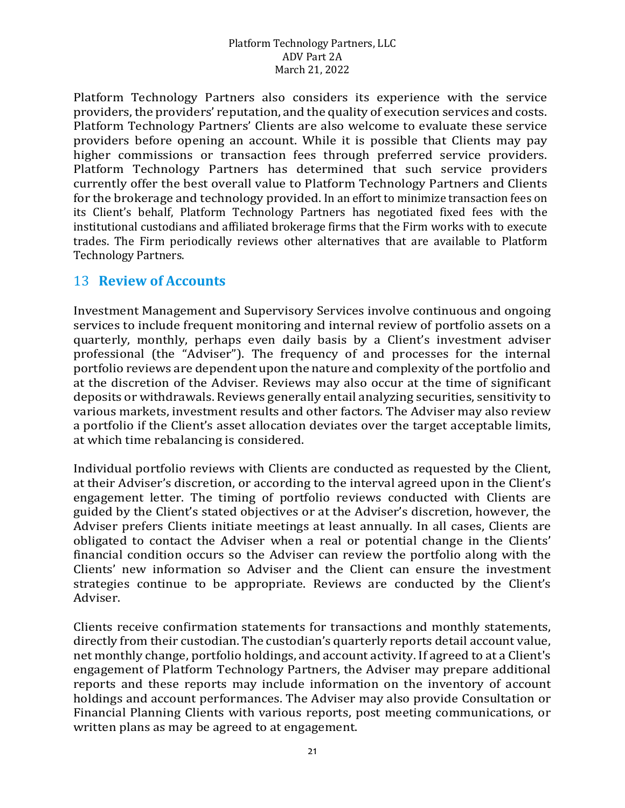Platform Technology Partners also considers its experience with the service providers, the providers' reputation, and the quality of execution services and costs. Platform Technology Partners' Clients are also welcome to evaluate these service providers before opening an account. While it is possible that Clients may pay higher commissions or transaction fees through preferred service providers. Platform Technology Partners has determined that such service providers currently offer the best overall value to Platform Technology Partners and Clients for the brokerage and technology provided. In an effort to minimize transaction fees on its Client's behalf, Platform Technology Partners has negotiated fixed fees with the institutional custodians and affiliated brokerage firms that the Firm works with to execute trades. The Firm periodically reviews other alternatives that are available to Platform Technology Partners.

### 13 **Review of Accounts**

Investment Management and Supervisory Services involve continuous and ongoing services to include frequent monitoring and internal review of portfolio assets on a quarterly, monthly, perhaps even daily basis by a Client's investment adviser professional (the "Adviser"). The frequency of and processes for the internal portfolio reviews are dependent upon the nature and complexity of the portfolio and at the discretion of the Adviser. Reviews may also occur at the time of significant deposits or withdrawals. Reviews generally entail analyzing securities, sensitivity to various markets, investment results and other factors. The Adviser may also review a portfolio if the Client's asset allocation deviates over the target acceptable limits, at which time rebalancing is considered.

Individual portfolio reviews with Clients are conducted as requested by the Client, at their Adviser's discretion, or according to the interval agreed upon in the Client's engagement letter. The timing of portfolio reviews conducted with Clients are guided by the Client's stated objectives or at the Adviser's discretion, however, the Adviser prefers Clients initiate meetings at least annually. In all cases, Clients are obligated to contact the Adviser when a real or potential change in the Clients' financial condition occurs so the Adviser can review the portfolio along with the Clients' new information so Adviser and the Client can ensure the investment strategies continue to be appropriate. Reviews are conducted by the Client's Adviser.

Clients receive confirmation statements for transactions and monthly statements, directly from their custodian. The custodian's quarterly reports detail account value, net monthly change, portfolio holdings, and account activity. If agreed to at a Client's engagement of Platform Technology Partners, the Adviser may prepare additional reports and these reports may include information on the inventory of account holdings and account performances. The Adviser may also provide Consultation or Financial Planning Clients with various reports, post meeting communications, or written plans as may be agreed to at engagement.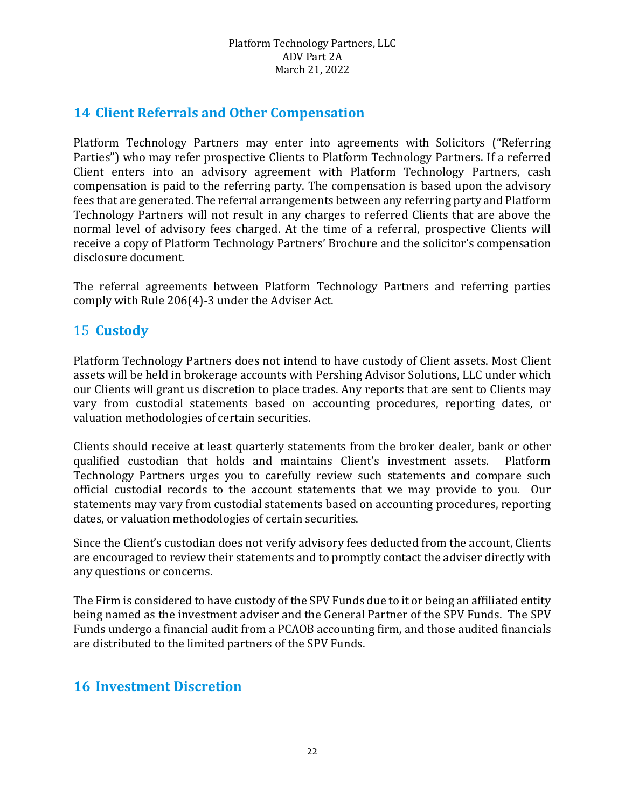# **14 Client Referrals and Other Compensation**

Platform Technology Partners may enter into agreements with Solicitors ("Referring Parties") who may refer prospective Clients to Platform Technology Partners. If a referred Client enters into an advisory agreement with Platform Technology Partners, cash compensation is paid to the referring party. The compensation is based upon the advisory fees that are generated. The referral arrangements between any referring party and Platform Technology Partners will not result in any charges to referred Clients that are above the normal level of advisory fees charged. At the time of a referral, prospective Clients will receive a copy of Platform Technology Partners' Brochure and the solicitor's compensation disclosure document.

The referral agreements between Platform Technology Partners and referring parties comply with Rule 206(4)-3 under the Adviser Act.

## 15 **Custody**

Platform Technology Partners does not intend to have custody of Client assets. Most Client assets will be held in brokerage accounts with Pershing Advisor Solutions, LLC under which our Clients will grant us discretion to place trades. Any reports that are sent to Clients may vary from custodial statements based on accounting procedures, reporting dates, or valuation methodologies of certain securities.

Clients should receive at least quarterly statements from the broker dealer, bank or other qualified custodian that holds and maintains Client's investment assets. Platform qualified custodian that holds and maintains Client's investment assets. Technology Partners urges you to carefully review such statements and compare such official custodial records to the account statements that we may provide to you. Our statements may vary from custodial statements based on accounting procedures, reporting dates, or valuation methodologies of certain securities.

Since the Client's custodian does not verify advisory fees deducted from the account, Clients are encouraged to review their statements and to promptly contact the adviser directly with any questions or concerns.

The Firm is considered to have custody of the SPV Funds due to it or being an affiliated entity being named as the investment adviser and the General Partner of the SPV Funds. The SPV Funds undergo a financial audit from a PCAOB accounting firm, and those audited financials are distributed to the limited partners of the SPV Funds.

### **16 Investment Discretion**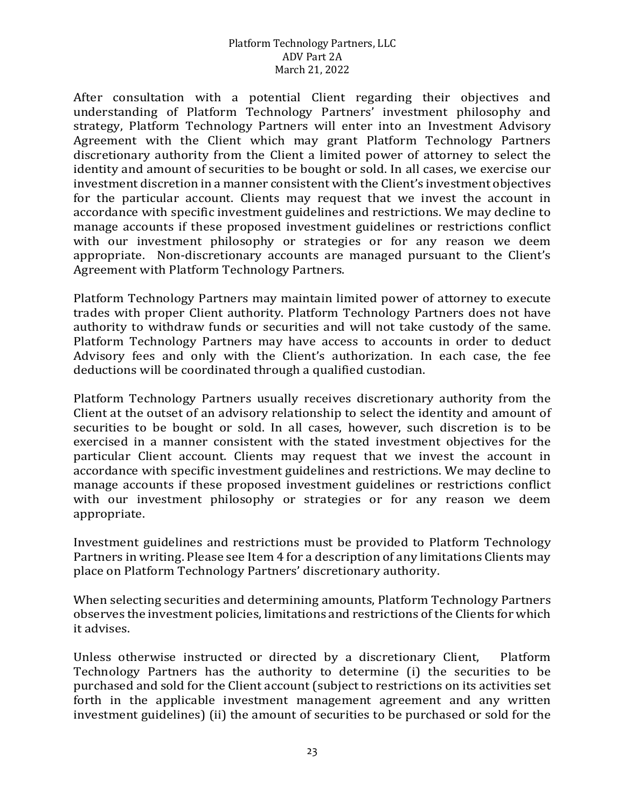After consultation with a potential Client regarding their objectives and understanding of Platform Technology Partners' investment philosophy and strategy, Platform Technology Partners will enter into an Investment Advisory Agreement with the Client which may grant Platform Technology Partners discretionary authority from the Client a limited power of attorney to select the identity and amount of securities to be bought or sold. In all cases, we exercise our investment discretion in a manner consistent with the Client's investment objectives for the particular account. Clients may request that we invest the account in accordance with specific investment guidelines and restrictions. We may decline to manage accounts if these proposed investment guidelines or restrictions conflict with our investment philosophy or strategies or for any reason we deem appropriate. Non-discretionary accounts are managed pursuant to the Client's Agreement with Platform Technology Partners.

Platform Technology Partners may maintain limited power of attorney to execute trades with proper Client authority. Platform Technology Partners does not have authority to withdraw funds or securities and will not take custody of the same. Platform Technology Partners may have access to accounts in order to deduct Advisory fees and only with the Client's authorization. In each case, the fee deductions will be coordinated through a qualified custodian.

Platform Technology Partners usually receives discretionary authority from the Client at the outset of an advisory relationship to select the identity and amount of securities to be bought or sold. In all cases, however, such discretion is to be exercised in a manner consistent with the stated investment objectives for the particular Client account. Clients may request that we invest the account in accordance with specific investment guidelines and restrictions. We may decline to manage accounts if these proposed investment guidelines or restrictions conflict with our investment philosophy or strategies or for any reason we deem appropriate.

Investment guidelines and restrictions must be provided to Platform Technology Partners in writing. Please see Item 4 for a description of any limitations Clients may place on Platform Technology Partners' discretionary authority.

When selecting securities and determining amounts, Platform Technology Partners observes the investment policies, limitations and restrictions of the Clients for which it advises.

Unless otherwise instructed or directed by a discretionary Client, Platform Technology Partners has the authority to determine (i) the securities to be purchased and sold for the Client account (subject to restrictions on its activities set forth in the applicable investment management agreement and any written investment guidelines) (ii) the amount of securities to be purchased or sold for the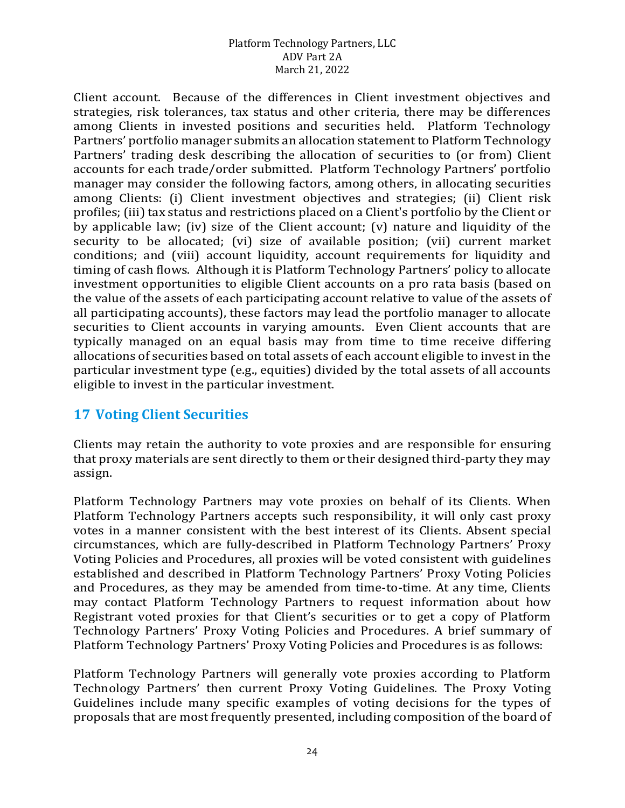Client account. Because of the differences in Client investment objectives and strategies, risk tolerances, tax status and other criteria, there may be differences among Clients in invested positions and securities held. Platform Technology Partners' portfolio manager submits an allocation statement to Platform Technology Partners' trading desk describing the allocation of securities to (or from) Client accounts for each trade/order submitted. Platform Technology Partners' portfolio manager may consider the following factors, among others, in allocating securities among Clients: (i) Client investment objectives and strategies; (ii) Client risk profiles; (iii) tax status and restrictions placed on a Client's portfolio by the Client or by applicable law; (iv) size of the Client account; (v) nature and liquidity of the security to be allocated; (vi) size of available position; (vii) current market conditions; and (viii) account liquidity, account requirements for liquidity and timing of cash flows. Although it is Platform Technology Partners' policy to allocate investment opportunities to eligible Client accounts on a pro rata basis (based on the value of the assets of each participating account relative to value of the assets of all participating accounts), these factors may lead the portfolio manager to allocate securities to Client accounts in varying amounts. Even Client accounts that are typically managed on an equal basis may from time to time receive differing allocations of securities based on total assets of each account eligible to invest in the particular investment type (e.g., equities) divided by the total assets of all accounts eligible to invest in the particular investment.

# **17 Voting Client Securities**

Clients may retain the authority to vote proxies and are responsible for ensuring that proxy materials are sent directly to them or their designed third-party they may assign.

Platform Technology Partners may vote proxies on behalf of its Clients. When Platform Technology Partners accepts such responsibility, it will only cast proxy votes in a manner consistent with the best interest of its Clients. Absent special circumstances, which are fully-described in Platform Technology Partners' Proxy Voting Policies and Procedures, all proxies will be voted consistent with guidelines established and described in Platform Technology Partners' Proxy Voting Policies and Procedures, as they may be amended from time-to-time. At any time, Clients may contact Platform Technology Partners to request information about how Registrant voted proxies for that Client's securities or to get a copy of Platform Technology Partners' Proxy Voting Policies and Procedures. A brief summary of Platform Technology Partners' Proxy Voting Policies and Procedures is as follows:

Platform Technology Partners will generally vote proxies according to Platform Technology Partners' then current Proxy Voting Guidelines. The Proxy Voting Guidelines include many specific examples of voting decisions for the types of proposals that are most frequently presented, including composition of the board of